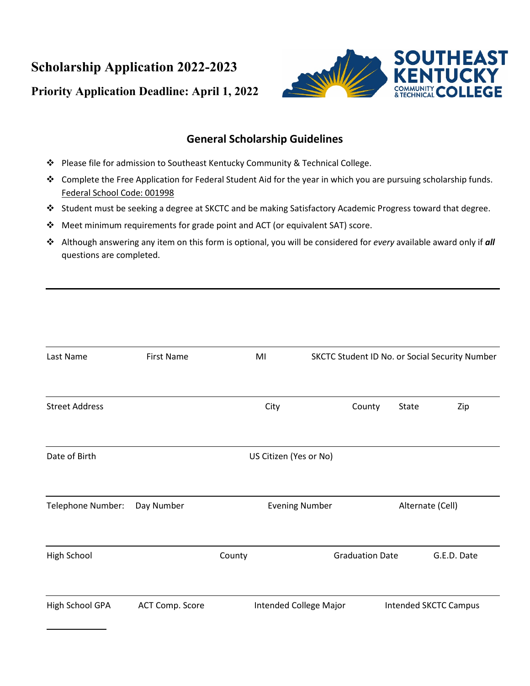**Scholarship Application 2022-2023 Priority Application Deadline: April 1, 2022**



## **General Scholarship Guidelines**

- Please file for admission to Southeast Kentucky Community & Technical College.
- \* Complete the Free Application for Federal Student Aid for the year in which you are pursuing scholarship funds. Federal School Code: 001998
- Student must be seeking a degree at SKCTC and be making Satisfactory Academic Progress toward that degree.
- Meet minimum requirements for grade point and ACT (or equivalent SAT) score.
- Although answering any item on this form is optional, you will be considered for *every* available award only if *all*  questions are completed.

| Last Name             | <b>First Name</b> | MI                     | SKCTC Student ID No. or Social Security Number |                              |             |
|-----------------------|-------------------|------------------------|------------------------------------------------|------------------------------|-------------|
| <b>Street Address</b> |                   | City                   | County                                         | State                        | Zip         |
| Date of Birth         |                   | US Citizen (Yes or No) |                                                |                              |             |
| Telephone Number:     | Day Number        | <b>Evening Number</b>  | Alternate (Cell)                               |                              |             |
| High School           |                   | County                 | <b>Graduation Date</b>                         |                              | G.E.D. Date |
| High School GPA       | ACT Comp. Score   |                        | Intended College Major                         | <b>Intended SKCTC Campus</b> |             |